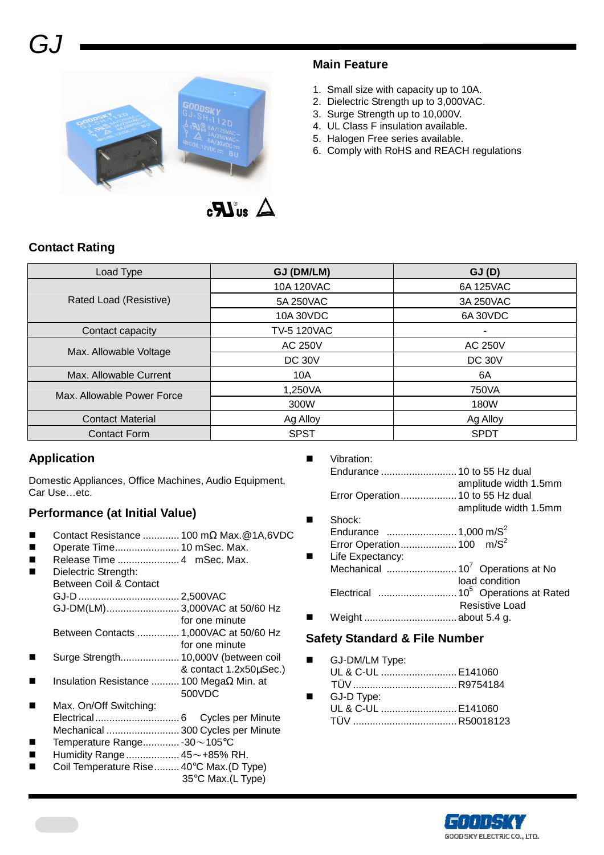

#### **Main Feature**

- 1. Small size with capacity up to 10A.
- 2. Dielectric Strength up to 3,000VAC.
- 3. Surge Strength up to 10,000V.
- 4. UL Class F insulation available.
- 5. Halogen Free series available.
- 6. Comply with RoHS and REACH regulations

## **Contact Rating**

| Load Type                  | GJ (DM/LM)         | GJ(D)          |  |  |
|----------------------------|--------------------|----------------|--|--|
|                            | 10A 120VAC         | 6A 125VAC      |  |  |
| Rated Load (Resistive)     | 5A 250VAC          | 3A 250VAC      |  |  |
|                            | 10A 30VDC          | 6A 30VDC       |  |  |
| Contact capacity           | <b>TV-5 120VAC</b> | ٠.             |  |  |
| Max. Allowable Voltage     | AC 250V            | <b>AC 250V</b> |  |  |
|                            | <b>DC 30V</b>      | <b>DC 30V</b>  |  |  |
| Max. Allowable Current     | 10A                | 6A             |  |  |
| Max. Allowable Power Force | 1,250VA            | 750VA          |  |  |
|                            | 300W               | 180W           |  |  |
| <b>Contact Material</b>    | Ag Alloy           | Ag Alloy       |  |  |
| <b>Contact Form</b>        | <b>SPST</b>        | <b>SPDT</b>    |  |  |

## **Application**

Domestic Appliances, Office Machines, Audio Equipment, Car Use…etc.

## **Performance (at Initial Value)**

- Contact Resistance ............. 100 mΩ Max.@1A,6VDC
- Operate Time....................... 10 mSec. Max.
- Release Time ...................... 4 mSec. Max.
- Dielectric Strength:
- Between Coil & Contact GJ-D .................................... 2,500VAC GJ-DM(LM).......................... 3,000VAC at 50/60 Hz for one minute Between Contacts ............... 1,000VAC at 50/60 Hz for one minute
- Surge Strength..................... 10,000V (between coil & contact 1.2x50µSec.)
- Insulation Resistance .......... 100 MegaΩ Min. at 500VDC
- Max. On/Off Switching: Electrical.............................. 6 Cycles per Minute Mechanical .......................... 300 Cycles per Minute Temperature Range............. -30~105°C
- Humidity Range................... 45~+85% RH.
- Coil Temperature Rise......... 40°C Max.(D Type)
	- 35°C Max.(L Type)

|   | Vibration:                       |                       |
|---|----------------------------------|-----------------------|
|   |                                  |                       |
|   |                                  | amplitude width 1.5mm |
|   | Error Operation 10 to 55 Hz dual |                       |
|   |                                  | amplitude width 1.5mm |
| ■ | Shock:                           |                       |
|   |                                  |                       |
|   |                                  |                       |
|   | Life Expectancy:                 |                       |

 Life Expectancy: Mechanical ......................... 10<sup>7</sup>Operations at No load condition Electrical ............................ 10<sup>5</sup>Operations at Rated Resistive Load Weight ................................. about 5.4 g.

#### **Safety Standard & File Number**

- GJ-DM/LM Type: UL & C-UL ........................... E141060 TÜV ..................................... R9754184
- GJ-D Type: UL & C-UL ........................... E141060 TÜV ..................................... R50018123